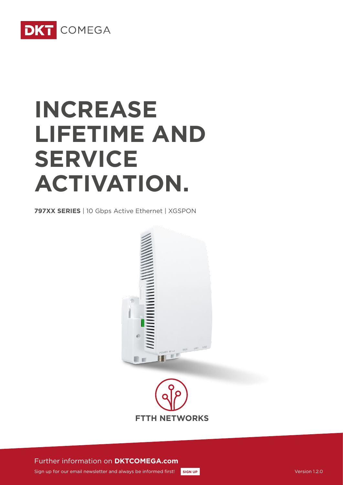

# **INCREASE LIFETIME AND SERVICE ACTIVATION.**

**797XX SERIES** | 10 Gbps Active Ethernet | XGSPON





Further information on **DKTCOMEGA.com**

Sign up for our email newsletter and always be informed first! **[SIGN UP](http://www.dktcomega.com/#newsletter)** Version 1.2.0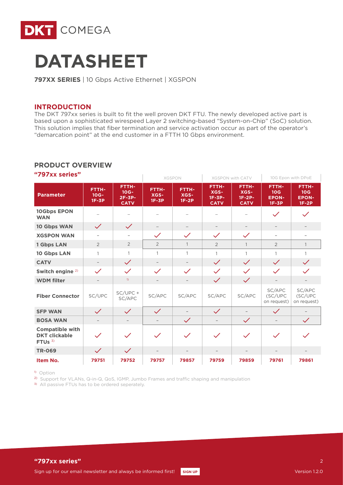



**797XX SERIES** | 10 Gbps Active Ethernet | XGSPON

#### **INTRODUCTION**

The DKT 797xx series is built to fit the well proven DKT FTU. The newly developed active part is based upon a sophisticated wirespeed Layer 2 switching-based "System-on-Chip" (SoC) solution. This solution implies that fiber termination and service activation occur as part of the operator's "demarcation point" at the end customer in a FTTH 10 Gbps environment.

#### **PRODUCT OVERVIEW**

| "797XX series"                                                        |                                    |                                                    |                                 | <b>XGSPON</b>                   | <b>XGSPON with CATV</b>                         |                                          |                                                            | 10G Epon with DPoE                                         |
|-----------------------------------------------------------------------|------------------------------------|----------------------------------------------------|---------------------------------|---------------------------------|-------------------------------------------------|------------------------------------------|------------------------------------------------------------|------------------------------------------------------------|
| <b>Parameter</b>                                                      | <b>FTTH-</b><br>$10G -$<br>$1F-3P$ | <b>FTTH-</b><br>$10G -$<br>$2F-3P-$<br><b>CATV</b> | <b>FTTH-</b><br>XGS-<br>$1F-3P$ | <b>FTTH-</b><br>XGS-<br>$1F-2P$ | <b>FTTH-</b><br>XGS-<br>$1F-3P-$<br><b>CATV</b> | FTTH-<br>XGS-<br>$1F-2P-$<br><b>CATV</b> | <b>FTTH-</b><br>10 <sub>G</sub><br><b>EPON-</b><br>$1F-3P$ | <b>FTTH-</b><br>10 <sub>G</sub><br><b>EPON-</b><br>$1F-2P$ |
| 10Gbps EPON<br><b>WAN</b>                                             |                                    |                                                    |                                 |                                 |                                                 |                                          | $\checkmark$                                               | $\checkmark$                                               |
| 10 Gbps WAN                                                           | $\checkmark$                       | $\checkmark$                                       |                                 |                                 |                                                 |                                          |                                                            |                                                            |
| <b>XGSPON WAN</b>                                                     | $\overline{\phantom{m}}$           | $\overline{\phantom{a}}$                           | $\checkmark$                    | $\checkmark$                    | $\checkmark$                                    | $\checkmark$                             | $\overline{\phantom{a}}$                                   | $\overline{\phantom{m}}$                                   |
| 1 Gbps LAN                                                            | $\overline{2}$                     | $\overline{2}$                                     | $\overline{2}$                  | $\mathbf{1}$                    | $\overline{2}$                                  | $\mathbf{1}$                             | $\overline{2}$                                             | $\mathbf{1}$                                               |
| 10 Gbps LAN                                                           | 1                                  | 1                                                  | $\mathbf{1}$                    | $\mathbf{1}$                    | $\mathbf{1}$                                    | $\mathbf{1}$                             | $\mathbf{1}$                                               | $\mathbf{1}$                                               |
| <b>CATV</b>                                                           | $\overline{\phantom{a}}$           | $\checkmark$                                       | $\overline{\phantom{a}}$        |                                 | $\checkmark$                                    | $\checkmark$                             | $\checkmark$                                               | $\checkmark$                                               |
| Switch engine <sup>2)</sup>                                           | $\checkmark$                       | $\checkmark$                                       | $\checkmark$                    | $\checkmark$                    | $\checkmark$                                    | $\checkmark$                             | $\checkmark$                                               | $\checkmark$                                               |
| <b>WDM</b> filter                                                     |                                    | $\sqrt{ }$                                         | $\overline{\phantom{m}}$        |                                 | $\checkmark$                                    | $\checkmark$                             | $\qquad \qquad -$                                          |                                                            |
| <b>Fiber Connector</b>                                                | SC/UPC                             | $SC/UPC +$<br>SC/APC                               | SC/APC                          | SC/APC                          | SC/APC                                          | SC/APC                                   | SC/APC<br>(SC/UPC<br>on request)                           | SC/APC<br>(SC/UPC<br>on request)                           |
| <b>SFP WAN</b>                                                        | $\checkmark$                       | $\checkmark$                                       | $\checkmark$                    |                                 | $\checkmark$                                    |                                          | $\checkmark$                                               |                                                            |
| <b>BOSA WAN</b>                                                       | $\overline{\phantom{a}}$           | $\qquad \qquad -$                                  | $\overline{\phantom{0}}$        | $\checkmark$                    | $\qquad \qquad -$                               | $\checkmark$                             | $\overline{\phantom{0}}$                                   | $\checkmark$                                               |
| <b>Compatible with</b><br><b>DKT clickable</b><br>FTU <sub>s</sub> 3) | $\checkmark$                       | $\checkmark$                                       | $\checkmark$                    | $\checkmark$                    | $\checkmark$                                    | $\checkmark$                             | $\checkmark$                                               | $\checkmark$                                               |
| <b>TR-069</b>                                                         | $\checkmark$                       | $\checkmark$                                       |                                 |                                 |                                                 |                                          |                                                            |                                                            |
| Item No.                                                              | 79751                              | 79752                                              | 79757                           | 79857                           | 79759                                           | 79859                                    | 79761                                                      | 79861                                                      |

**"797xx series"**

1) Option

<sup>2)</sup> Support for VLANs, Q-in-Q, QoS, IGMP, Jumbo Frames and traffic shaping and manipulation

<sup>3)</sup> All passive FTUs has to be ordered seperately.

 $\overline{2}$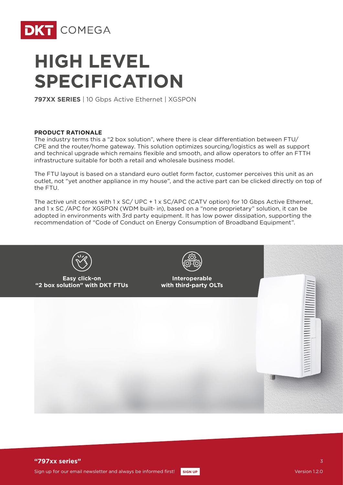

# **HIGH LEVEL SPECIFICATION**

**797XX SERIES** | 10 Gbps Active Ethernet | XGSPON

#### **PRODUCT RATIONALE**

The industry terms this a "2 box solution", where there is clear differentiation between FTU/ CPE and the router/home gateway. This solution optimizes sourcing/logistics as well as support and technical upgrade which remains flexible and smooth, and allow operators to offer an FTTH infrastructure suitable for both a retail and wholesale business model.

The FTU layout is based on a standard euro outlet form factor, customer perceives this unit as an outlet, not "yet another appliance in my house", and the active part can be clicked directly on top of the FTU.

The active unit comes with 1 x SC/ UPC + 1 x SC/APC (CATV option) for 10 Gbps Active Ethernet, and 1 x SC /APC for XGSPON (WDM built- in), based on a "none proprietary" solution, it can be adopted in environments with 3rd party equipment. It has low power dissipation, supporting the recommendation of "Code of Conduct on Energy Consumption of Broadband Equipment".



7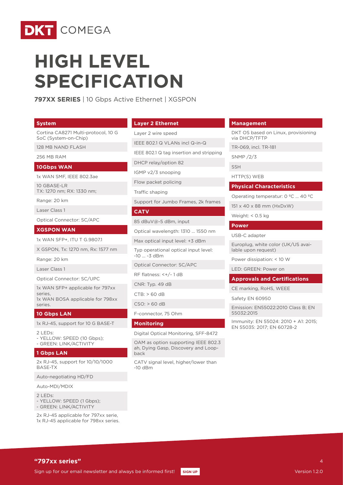

# **HIGH LEVEL SPECIFICATION**

**797XX SERIES** | 10 Gbps Active Ethernet | XGSPON

#### **System**

Cortina CA8271 Multi-protocol, 10 G SoC (System-on-Chip)

128 MB NAND FLASH

256 MB RAM

#### **10Gbps WAN**

1x WAN SMF, IEEE 802.3ae

10 GBASE-LR TX: 1270 nm; RX: 1330 nm;

Range: 20 km

Laser Class 1

Optical Connector: SC/APC

#### **XGSPON WAN**

1x WAN SFP+, ITU T G.9807.1

X GSPON, Tx: 1270 nm, Rx: 1577 nm

Range: 20 km

Laser Class 1

Optical Connector: SC/UPC

1x WAN SFP+ applicable for 797xx series 1x WAN BOSA applicable for 798xx series.

#### **10 Gbps LAN**

1x RJ-45, support for 10 G BASE-T

 $2$  LEDs:

- YELLOW: SPEED (10 Gbps); - GREEN: LINK/ACTIVITY

#### **1 Gbps LAN**

2x RJ-45, support for 10/10/1000 BASE-TX

Auto-negotiating HD/FD

Auto-MDI/MDIX

 $2$  LEDs:

- YELLOW: SPEED (1 Gbps); - GREEN: LINK/ACTIVITY

2x RJ-45 applicable for 797xx serie, 1x RJ-45 applicable for 798xx series.

#### **Layer 2 Ethernet**

### Layer 2 wire speed

IEEE 802.1 Q VLANs incl Q-in-Q

IEEE 802.1 Q tag insertion and stripping

DHCP relay/option 82

IGMP v2/3 snooping

Flow packet policing

Traffic shaping

Support for Jumbo Frames, 2k frames

#### **CATV**

85 dBuV@-5 dBm, input

Optical wavelength: 1310 … 1550 nm

Max optical input level: +3 dBm

Typ operational optical input level: -10 … -3 dBm

Optical Connector: SC/APC

RF flatness: <+/- 1 dB

CNR: Typ. 49 dB

CTB: > 60 dB

CSO: > 60 dB

F-connector, 75 Ohm

#### **Monitoring**

Digital Optical Monitoring, SFF-8472

OAM as option supporting IEEE 802.3 ah, Dying Gasp, Discovery and Loopback

CATV signal level, higher/lower than -10 dBm

#### **Management**

DKT OS based on Linux, provisioning via DHCP/TFTP

TR-069, incl. TR-181

SNMP /2/3

SSH

HTTP(S) WEB

#### **Physical Characteristics**

Operating temperatur: 0 ºC … 40 ºC

151 x 40 x 88 mm (HxDxW)

Weight: < 0.5 kg

#### **Power**

USB-C adapter

Europlug, white color (UK/US available upon request)

Power dissipation: < 10 W

LED: GREEN: Power on

#### **Approvals and Certifications**

CE marking, RoHS, WEEE

Safety EN 60950

Emission: EN55022:2010 Class B; EN 55032:2015

Immunity: EN 55024: 2010 + A1: 2015; EN 55035: 2017; EN 60728-2

#### **"797xx series"**